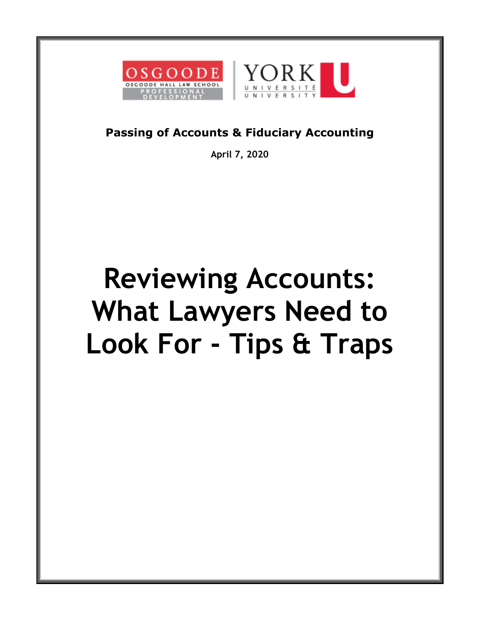



#### **Passing of Accounts & Fiduciary Accounting**

**April 7, 2020**

# **Reviewing Accounts: What Lawyers Need to Look For - Tips & Traps**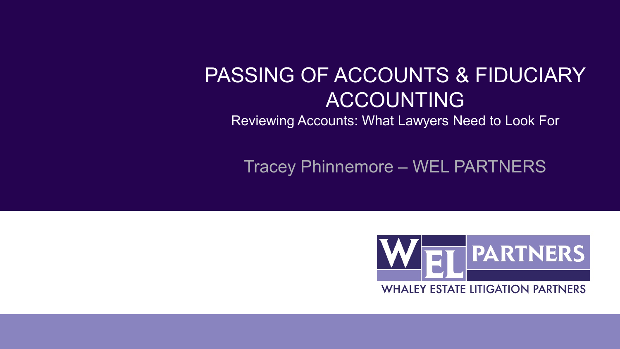#### PASSING OF ACCOUNTS & FIDUCIARY ACCOUNTING

Reviewing Accounts: What Lawyers Need to Look For

Tracey Phinnemore – WEL PARTNERS

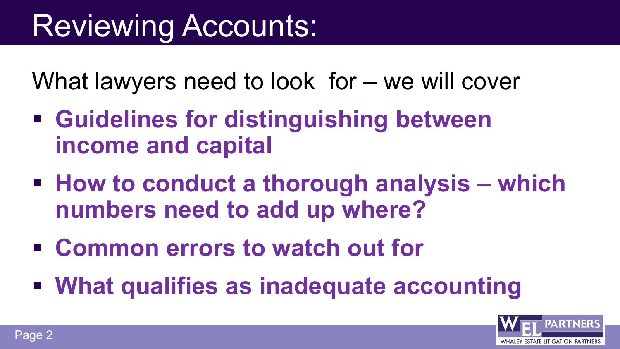What lawyers need to look for – we will cover

- **Guidelines for distinguishing between income and capital**
- **How to conduct a thorough analysis – which numbers need to add up where?**
- **Common errors to watch out for**
- **What qualifies as inadequate accounting**

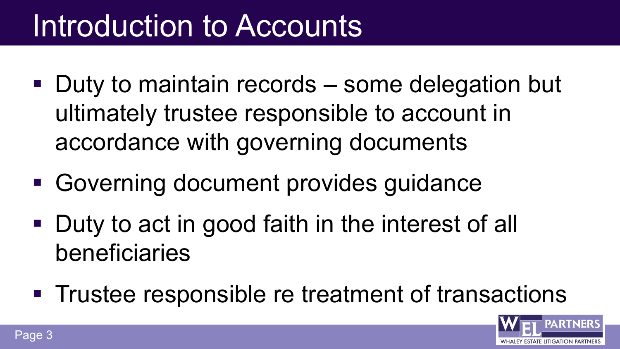### Introduction to Accounts

- Duty to maintain records some delegation but ultimately trustee responsible to account in accordance with governing documents
- Governing document provides guidance
- **Duty to act in good faith in the interest of all** beneficiaries
- **Trustee responsible re treatment of transactions**

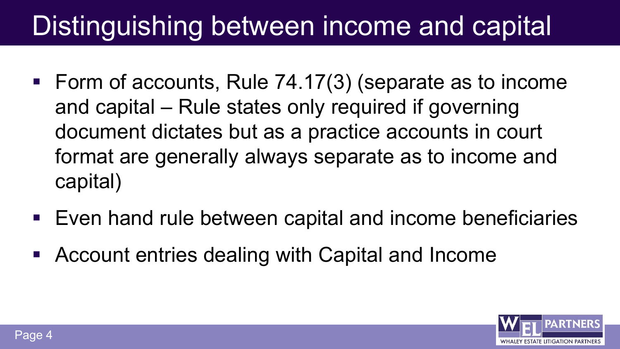### Distinguishing between income and capital

- Form of accounts, Rule 74.17(3) (separate as to income and capital – Rule states only required if governing document dictates but as a practice accounts in court format are generally always separate as to income and capital)
- Even hand rule between capital and income beneficiaries
- Account entries dealing with Capital and Income

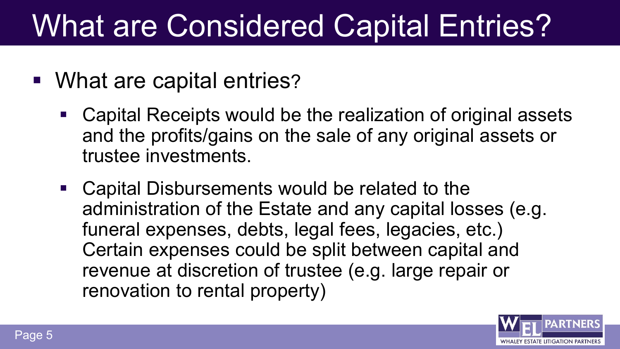### What are Considered Capital Entries?

- What are capital entries?
	- Capital Receipts would be the realization of original assets and the profits/gains on the sale of any original assets or trustee investments.
	- Capital Disbursements would be related to the administration of the Estate and any capital losses (e.g. funeral expenses, debts, legal fees, legacies, etc.) Certain expenses could be split between capital and revenue at discretion of trustee (e.g. large repair or renovation to rental property)

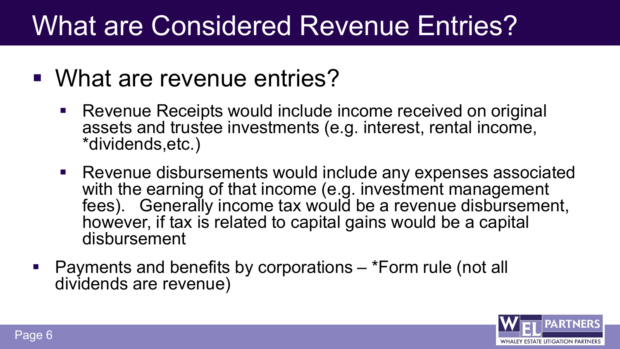### What are Considered Revenue Entries?

- What are revenue entries?
	- Revenue Receipts would include income received on original assets and trustee investments (e.g. interest, rental income, \*dividends,etc.)
	- Revenue disbursements would include any expenses associated with the earning of that income (e.g. investment management fees). Generally income tax would be a revenue disbursement, however, if tax is related to capital gains would be a capital disbursement
- Payments and benefits by corporations \*Form rule (not all dividends are revenue)

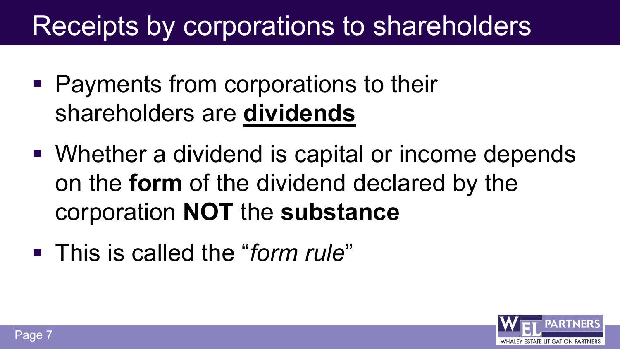### Receipts by corporations to shareholders

- Payments from corporations to their shareholders are **dividends**
- Whether a dividend is capital or income depends on the **form** of the dividend declared by the corporation **NOT** the **substance**
- This is called the "*form rule*"

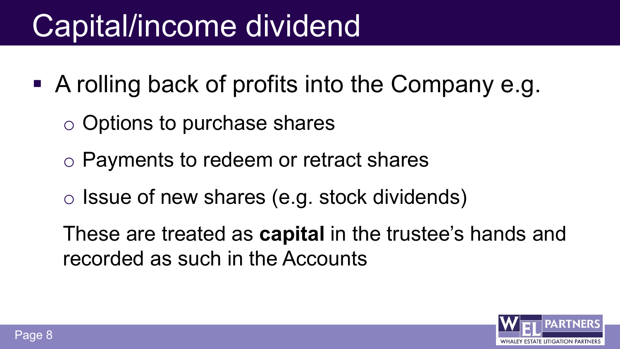### Capital/income dividend

- A rolling back of profits into the Company e.g.
	- o Options to purchase shares
	- o Payments to redeem or retract shares
	- o Issue of new shares (e.g. stock dividends)
	- These are treated as **capital** in the trustee's hands and recorded as such in the Accounts

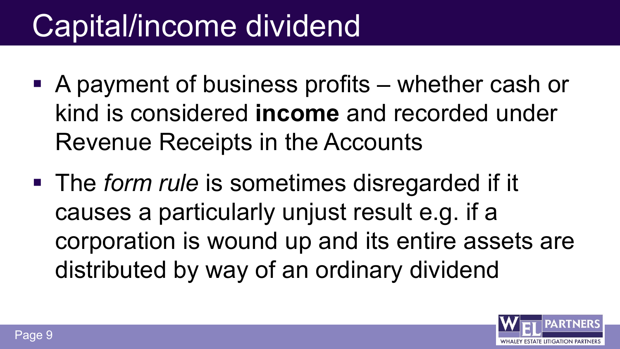### Capital/income dividend

- A payment of business profits whether cash or kind is considered **income** and recorded under Revenue Receipts in the Accounts
- The *form rule* is sometimes disregarded if it causes a particularly unjust result e.g. if a corporation is wound up and its entire assets are distributed by way of an ordinary dividend

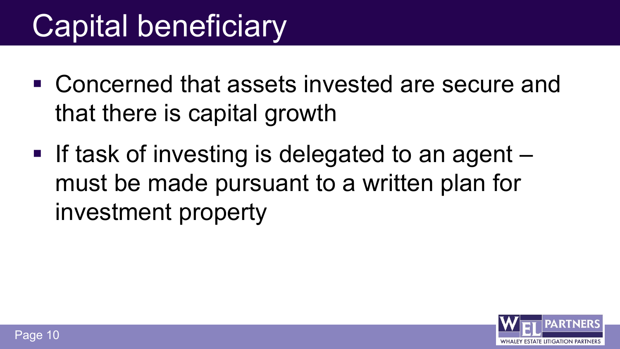### Capital beneficiary

- Concerned that assets invested are secure and that there is capital growth
- If task of investing is delegated to an agent must be made pursuant to a written plan for investment property

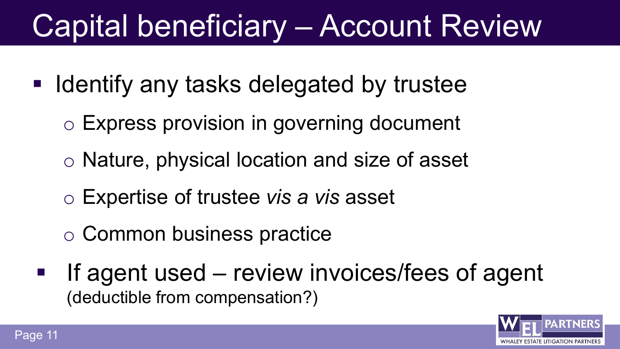### Capital beneficiary – Account Review

- **If Identify any tasks delegated by trustee** 
	- o Express provision in governing document
	- o Nature, physical location and size of asset
	- o Expertise of trustee *vis a vis* asset
	- o Common business practice
	- If agent used review invoices/fees of agent (deductible from compensation?)

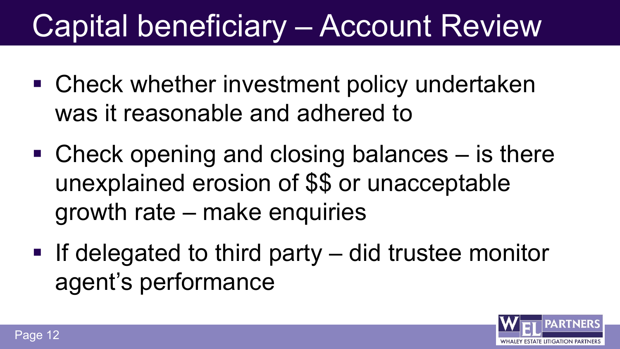### Capital beneficiary – Account Review

- Check whether investment policy undertaken was it reasonable and adhered to
- Check opening and closing balances is there unexplained erosion of \$\$ or unacceptable growth rate – make enquiries
- If delegated to third party  $-$  did trustee monitor agent's performance

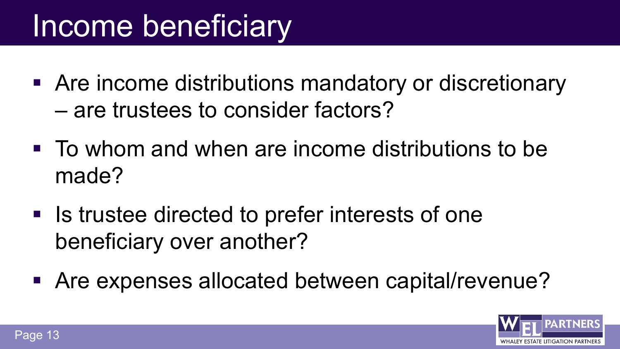### Income beneficiary

- Are income distributions mandatory or discretionary – are trustees to consider factors?
- To whom and when are income distributions to be made?
- Is trustee directed to prefer interests of one beneficiary over another?
- Are expenses allocated between capital/revenue?

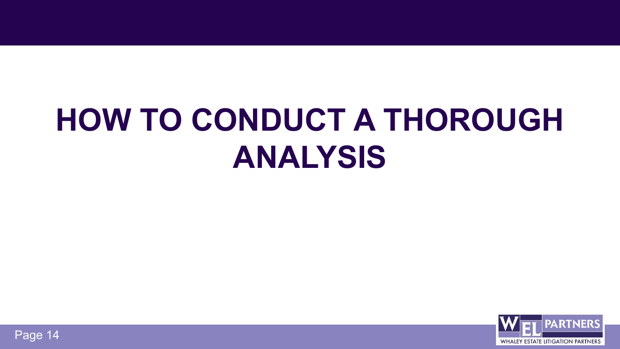# **HOW TO CONDUCT A THOROUGH ANALYSIS**



Page 14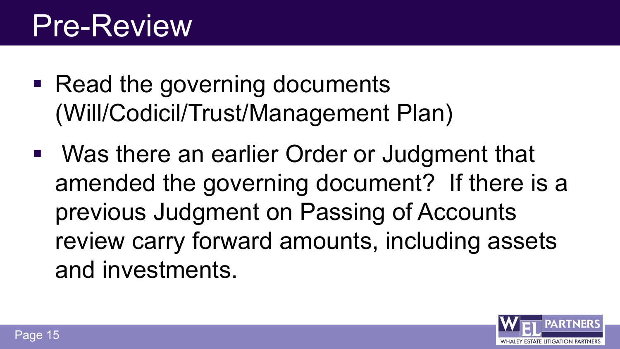### Pre-Review

- Read the governing documents (Will/Codicil/Trust/Management Plan)
- Was there an earlier Order or Judgment that amended the governing document? If there is a previous Judgment on Passing of Accounts review carry forward amounts, including assets and investments.

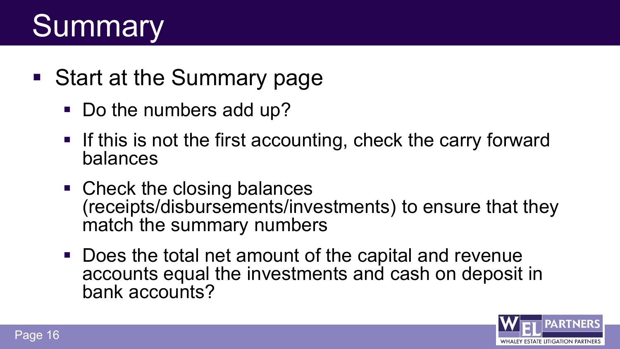### **Summary**

- Start at the Summary page
	- Do the numbers add up?
	- **If this is not the first accounting, check the carry forward** balances
	- Check the closing balances (receipts/disbursements/investments) to ensure that they match the summary numbers
	- Does the total net amount of the capital and revenue accounts equal the investments and cash on deposit in bank accounts?

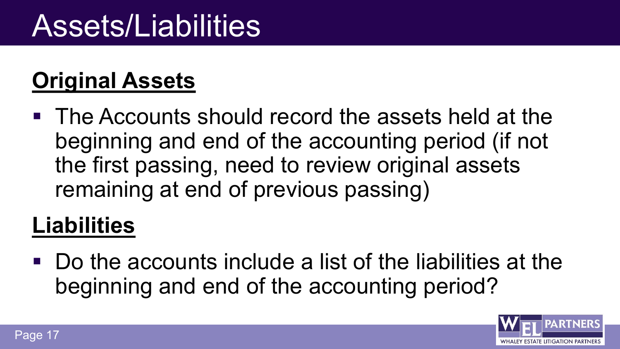### Assets/Liabilities

#### **Original Assets**

 The Accounts should record the assets held at the beginning and end of the accounting period (if not the first passing, need to review original assets remaining at end of previous passing)

#### **Liabilities**

 Do the accounts include a list of the liabilities at the beginning and end of the accounting period?

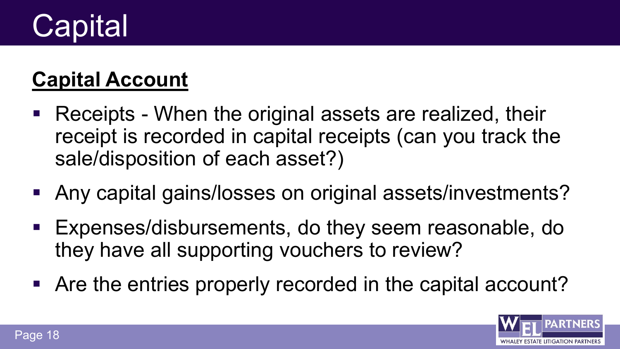## **Capital**

#### **Capital Account**

- Receipts When the original assets are realized, their receipt is recorded in capital receipts (can you track the sale/disposition of each asset?)
- Any capital gains/losses on original assets/investments?
- Expenses/disbursements, do they seem reasonable, do they have all supporting vouchers to review?
- Are the entries properly recorded in the capital account?

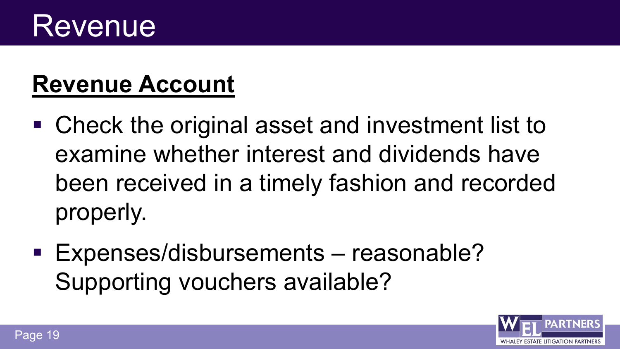### Revenue

### **Revenue Account**

- Check the original asset and investment list to examine whether interest and dividends have been received in a timely fashion and recorded properly.
- **Expenses/disbursements reasonable?** Supporting vouchers available?

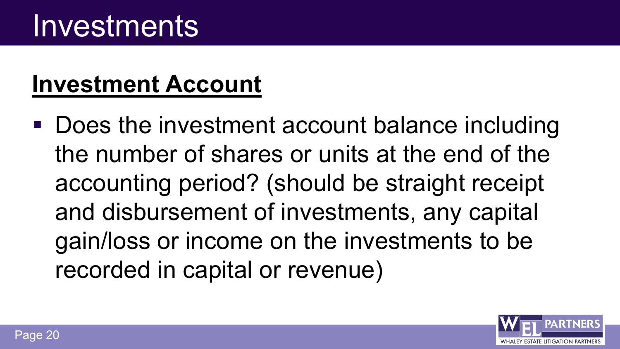### **Investment Account**

■ Does the investment account balance including the number of shares or units at the end of the accounting period? (should be straight receipt and disbursement of investments, any capital gain/loss or income on the investments to be recorded in capital or revenue)

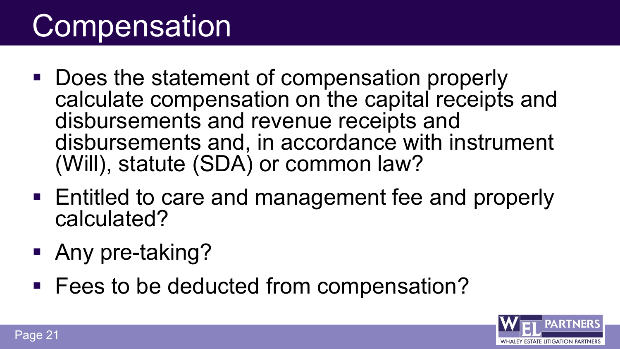### **Compensation**

- Does the statement of compensation properly calculate compensation on the capital receipts and disbursements and revenue receipts and disbursements and, in accordance with instrument (Will), statute (SDA) or common law?
- Entitled to care and management fee and properly calculated?
- **Any pre-taking?**
- Fees to be deducted from compensation?

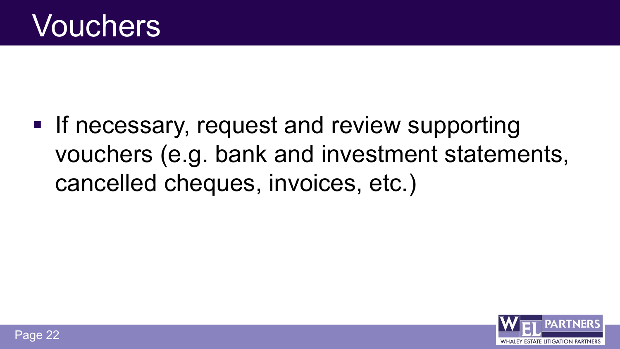**If necessary, request and review supporting** vouchers (e.g. bank and investment statements, cancelled cheques, invoices, etc.)

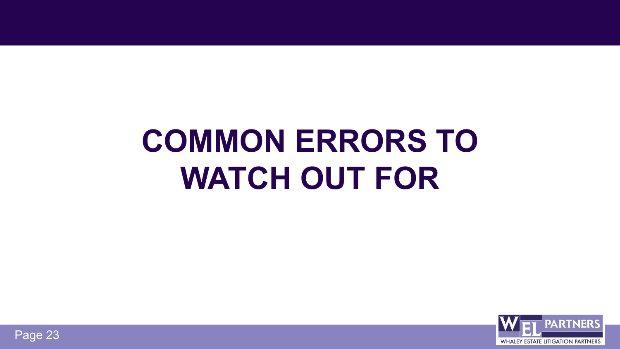# **COMMON ERRORS TO WATCH OUT FOR**



Page 23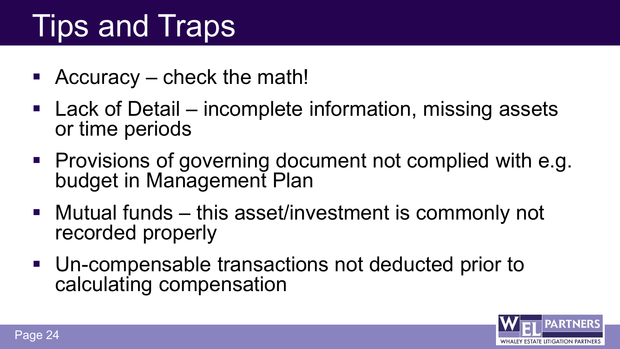### Tips and Traps

- Accuracy check the math!
- Lack of Detail incomplete information, missing assets or time periods
- **Provisions of governing document not complied with e.g.** budget in Management Plan
- Mutual funds this asset/investment is commonly not recorded properly
- Un-compensable transactions not deducted prior to calculating compensation

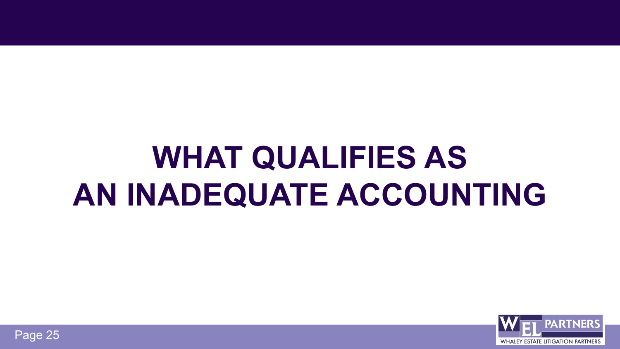## **WHAT QUALIFIES AS AN INADEQUATE ACCOUNTING**



Page 25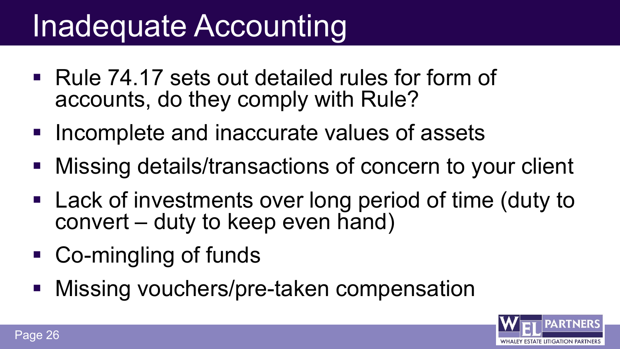### Inadequate Accounting

- Rule 74.17 sets out detailed rules for form of accounts, do they comply with Rule?
- **Incomplete and inaccurate values of assets**
- **Missing details/transactions of concern to your client**
- Lack of investments over long period of time (duty to convert – duty to keep even hand)
- Co-mingling of funds
- **Missing vouchers/pre-taken compensation**

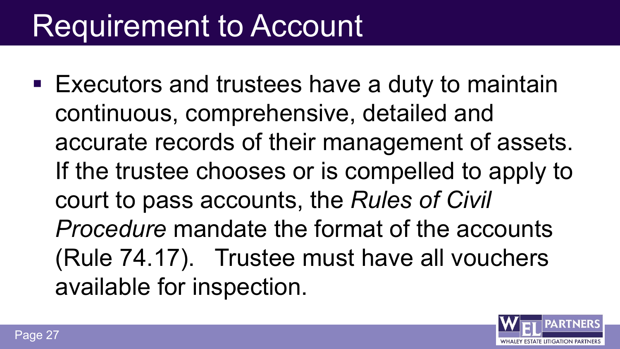### Requirement to Account

**Executors and trustees have a duty to maintain** continuous, comprehensive, detailed and accurate records of their management of assets. If the trustee chooses or is compelled to apply to court to pass accounts, the *Rules of Civil Procedure* mandate the format of the accounts (Rule 74.17). Trustee must have all vouchers available for inspection.

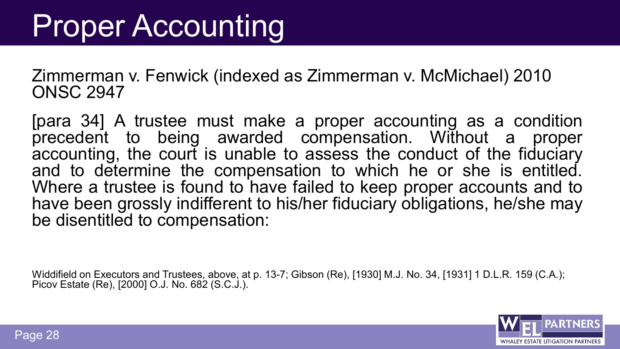### **Proper Accounting**

Zimmerman v. Fenwick (indexed as Zimmerman v. McMichael) 2010 ONSC 2947

[para 34] A trustee must make a proper accounting as a condition precedent to being awarded compensation. Without a proper accounting, the court is unable to assess the conduct of the fiduciary<br>and to determine the compensation to which he or she is entitled. Where a trustee is found to have failed to keep proper accounts and to have been grossly indifferent to his/her fiduciary obligations, he/she may be disentitled to compensation:

Widdifield on Executors and Trustees, above, at p. 13-7; Gibson (Re), [1930] M.J. No. 34, [1931] 1 D.L.R. 159 (C.A.); Picov Estate (Re), [2000] O.J. No. 682 (S.C.J.).